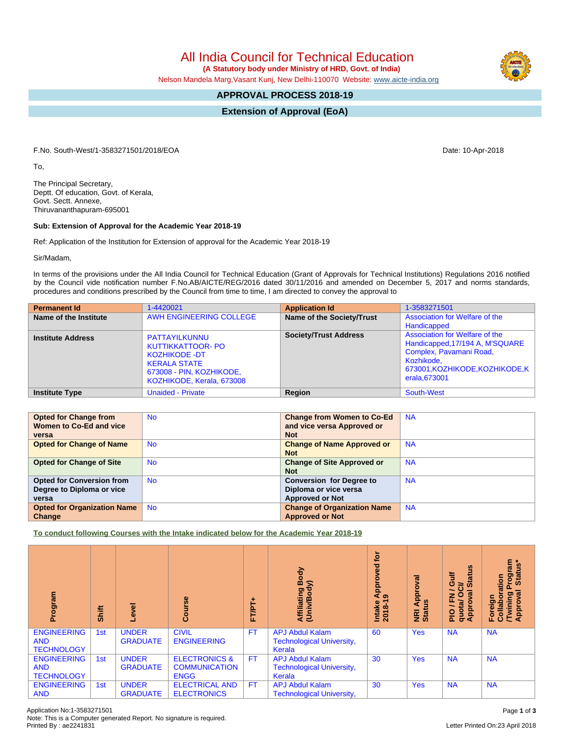All India Council for Technical Education

 **(A Statutory body under Ministry of HRD, Govt. of India)**

Nelson Mandela Marg,Vasant Kunj, New Delhi-110070 Website: [www.aicte-india.org](http://www.aicte-india.org)

## **APPROVAL PROCESS 2018-19**

**Extension of Approval (EoA)**

F.No. South-West/1-3583271501/2018/EOA Date: 10-Apr-2018

To,

The Principal Secretary, Deptt. Of education, Govt. of Kerala, Govt. Sectt. Annexe, Thiruvananthapuram-695001

## **Sub: Extension of Approval for the Academic Year 2018-19**

Ref: Application of the Institution for Extension of approval for the Academic Year 2018-19

Sir/Madam,

In terms of the provisions under the All India Council for Technical Education (Grant of Approvals for Technical Institutions) Regulations 2016 notified by the Council vide notification number F.No.AB/AICTE/REG/2016 dated 30/11/2016 and amended on December 5, 2017 and norms standards, procedures and conditions prescribed by the Council from time to time, I am directed to convey the approval to

| <b>Permanent Id</b>      | 1-4420021                                                                                                                                         | <b>Application Id</b>        | 1-3583271501                                                                                                                                                   |
|--------------------------|---------------------------------------------------------------------------------------------------------------------------------------------------|------------------------------|----------------------------------------------------------------------------------------------------------------------------------------------------------------|
| Name of the Institute    | AWH ENGINEERING COLLEGE                                                                                                                           | Name of the Society/Trust    | Association for Welfare of the<br>Handicapped                                                                                                                  |
| <b>Institute Address</b> | PATTAYILKUNNU<br><b>KUTTIKKATTOOR- PO</b><br><b>KOZHIKODE -DT</b><br><b>KERALA STATE</b><br>673008 - PIN, KOZHIKODE,<br>KOZHIKODE, Kerala, 673008 | <b>Society/Trust Address</b> | Association for Welfare of the<br>Handicapped, 17/194 A, M'SQUARE<br>Complex, Pavamani Road,<br>Kozhikode.<br>673001, KOZHIKODE, KOZHIKODE, K<br>erala, 673001 |
| <b>Institute Type</b>    | <b>Unaided - Private</b>                                                                                                                          | Region                       | South-West                                                                                                                                                     |

| <b>Opted for Change from</b>       | <b>No</b> | <b>Change from Women to Co-Ed</b>  | <b>NA</b> |
|------------------------------------|-----------|------------------------------------|-----------|
| Women to Co-Ed and vice            |           | and vice versa Approved or         |           |
| versa                              |           | <b>Not</b>                         |           |
| <b>Opted for Change of Name</b>    | <b>No</b> | <b>Change of Name Approved or</b>  | <b>NA</b> |
|                                    |           | <b>Not</b>                         |           |
| <b>Opted for Change of Site</b>    | <b>No</b> | <b>Change of Site Approved or</b>  | <b>NA</b> |
|                                    |           | <b>Not</b>                         |           |
| <b>Opted for Conversion from</b>   | <b>No</b> | <b>Conversion for Degree to</b>    | <b>NA</b> |
| Degree to Diploma or vice          |           | Diploma or vice versa              |           |
| versa                              |           | <b>Approved or Not</b>             |           |
| <b>Opted for Organization Name</b> | <b>No</b> | <b>Change of Organization Name</b> | <b>NA</b> |
| Change                             |           | <b>Approved or Not</b>             |           |

**To conduct following Courses with the Intake indicated below for the Academic Year 2018-19**

| rogram<br>ō                                           | Shift | ᠊ᢛ                              | Course                                                          | ٠<br><b>FT/PT</b> | Body<br>ody)<br>Affiliating<br>(Univ/Body                            | <b>b</b><br>yed<br>Āppi<br>ာ<br>Intake<br>2018-1 | ᠊ᢛ<br>Appl<br>NRI Ap<br>Status | 9n<br>₹<br><b>State</b><br>ဖ<br>ಕ<br>∽<br>$\boldsymbol{\varpi}$<br>준<br>uota/<br>ppro <sup>-</sup><br>$\frac{1}{2}$<br>ᇂ<br>⋖ | rogram<br>Status*<br>ation<br>Foreign<br>Collabora<br>/Twining<br>Approval |
|-------------------------------------------------------|-------|---------------------------------|-----------------------------------------------------------------|-------------------|----------------------------------------------------------------------|--------------------------------------------------|--------------------------------|-------------------------------------------------------------------------------------------------------------------------------|----------------------------------------------------------------------------|
| <b>ENGINEERING</b><br><b>AND</b><br><b>TECHNOLOGY</b> | 1st   | <b>UNDER</b><br><b>GRADUATE</b> | <b>CIVIL</b><br><b>ENGINEERING</b>                              | <b>FT</b>         | <b>APJ Abdul Kalam</b><br><b>Technological University,</b><br>Kerala | 60                                               | <b>Yes</b>                     | <b>NA</b>                                                                                                                     | <b>NA</b>                                                                  |
| <b>ENGINEERING</b><br><b>AND</b><br><b>TECHNOLOGY</b> | 1st   | <b>UNDER</b><br><b>GRADUATE</b> | <b>ELECTRONICS &amp;</b><br><b>COMMUNICATION</b><br><b>ENGG</b> | <b>FT</b>         | <b>APJ Abdul Kalam</b><br><b>Technological University,</b><br>Kerala | 30                                               | <b>Yes</b>                     | <b>NA</b>                                                                                                                     | <b>NA</b>                                                                  |
| <b>ENGINEERING</b><br><b>AND</b>                      | 1st   | <b>UNDER</b><br><b>GRADUATE</b> | <b>ELECTRICAL AND</b><br><b>ELECTRONICS</b>                     | <b>FT</b>         | <b>APJ Abdul Kalam</b><br><b>Technological University,</b>           | 30                                               | <b>Yes</b>                     | <b>NA</b>                                                                                                                     | <b>NA</b>                                                                  |

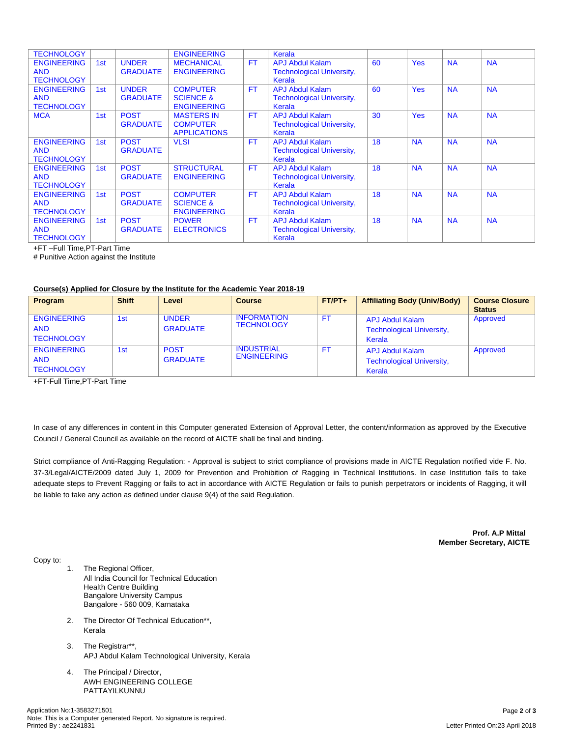| <b>TECHNOLOGY</b>                                     |     |                                 | <b>ENGINEERING</b>                                            |           | Kerala                                                               |    |            |           |           |
|-------------------------------------------------------|-----|---------------------------------|---------------------------------------------------------------|-----------|----------------------------------------------------------------------|----|------------|-----------|-----------|
| <b>ENGINEERING</b><br><b>AND</b><br><b>TECHNOLOGY</b> | 1st | <b>UNDER</b><br><b>GRADUATE</b> | <b>MECHANICAL</b><br><b>ENGINEERING</b>                       | <b>FT</b> | <b>APJ Abdul Kalam</b><br><b>Technological University,</b><br>Kerala | 60 | <b>Yes</b> | <b>NA</b> | <b>NA</b> |
| <b>ENGINEERING</b><br><b>AND</b><br><b>TECHNOLOGY</b> | 1st | <b>UNDER</b><br><b>GRADUATE</b> | <b>COMPUTER</b><br><b>SCIENCE &amp;</b><br><b>ENGINEERING</b> | <b>FT</b> | <b>APJ Abdul Kalam</b><br><b>Technological University,</b><br>Kerala | 60 | <b>Yes</b> | <b>NA</b> | <b>NA</b> |
| <b>MCA</b>                                            | 1st | <b>POST</b><br><b>GRADUATE</b>  | <b>MASTERS IN</b><br><b>COMPUTER</b><br><b>APPLICATIONS</b>   | <b>FT</b> | <b>APJ Abdul Kalam</b><br><b>Technological University,</b><br>Kerala | 30 | <b>Yes</b> | <b>NA</b> | <b>NA</b> |
| <b>ENGINEERING</b><br><b>AND</b><br><b>TECHNOLOGY</b> | 1st | <b>POST</b><br><b>GRADUATE</b>  | <b>VLSI</b>                                                   | <b>FT</b> | <b>APJ Abdul Kalam</b><br><b>Technological University,</b><br>Kerala | 18 | <b>NA</b>  | <b>NA</b> | <b>NA</b> |
| <b>ENGINEERING</b><br><b>AND</b><br><b>TECHNOLOGY</b> | 1st | <b>POST</b><br><b>GRADUATE</b>  | <b>STRUCTURAL</b><br><b>ENGINEERING</b>                       | <b>FT</b> | <b>APJ Abdul Kalam</b><br><b>Technological University,</b><br>Kerala | 18 | <b>NA</b>  | <b>NA</b> | <b>NA</b> |
| <b>ENGINEERING</b><br><b>AND</b><br><b>TECHNOLOGY</b> | 1st | <b>POST</b><br><b>GRADUATE</b>  | <b>COMPUTER</b><br><b>SCIENCE &amp;</b><br><b>ENGINEERING</b> | <b>FT</b> | <b>APJ Abdul Kalam</b><br><b>Technological University,</b><br>Kerala | 18 | <b>NA</b>  | <b>NA</b> | <b>NA</b> |
| <b>ENGINEERING</b><br><b>AND</b><br><b>TECHNOLOGY</b> | 1st | <b>POST</b><br><b>GRADUATE</b>  | <b>POWER</b><br><b>ELECTRONICS</b>                            | <b>FT</b> | <b>APJ Abdul Kalam</b><br><b>Technological University,</b><br>Kerala | 18 | <b>NA</b>  | <b>NA</b> | <b>NA</b> |

+FT –Full Time,PT-Part Time

# Punitive Action against the Institute

## **Course(s) Applied for Closure by the Institute for the Academic Year 2018-19**

| Program            | <b>Shift</b> | Level           | <b>Course</b>      | $FT/PT+$  | <b>Affiliating Body (Univ/Body)</b> | <b>Course Closure</b> |
|--------------------|--------------|-----------------|--------------------|-----------|-------------------------------------|-----------------------|
|                    |              |                 |                    |           |                                     | <b>Status</b>         |
| <b>ENGINEERING</b> | 1st          | <b>UNDER</b>    | <b>INFORMATION</b> | <b>FT</b> | <b>APJ Abdul Kalam</b>              | Approved              |
| <b>AND</b>         |              | <b>GRADUATE</b> | <b>TECHNOLOGY</b>  |           | <b>Technological University,</b>    |                       |
| <b>TECHNOLOGY</b>  |              |                 |                    |           | Kerala                              |                       |
|                    |              |                 |                    |           |                                     |                       |
| <b>ENGINEERING</b> | 1st          | <b>POST</b>     | <b>INDUSTRIAL</b>  | <b>FT</b> | APJ Abdul Kalam                     | Approved              |
| <b>AND</b>         |              | <b>GRADUATE</b> | <b>ENGINEERING</b> |           | <b>Technological University,</b>    |                       |
| <b>TECHNOLOGY</b>  |              |                 |                    |           | Kerala                              |                       |
|                    |              |                 |                    |           |                                     |                       |

+FT-Full Time,PT-Part Time

In case of any differences in content in this Computer generated Extension of Approval Letter, the content/information as approved by the Executive Council / General Council as available on the record of AICTE shall be final and binding.

Strict compliance of Anti-Ragging Regulation: - Approval is subject to strict compliance of provisions made in AICTE Regulation notified vide F. No. 37-3/Legal/AICTE/2009 dated July 1, 2009 for Prevention and Prohibition of Ragging in Technical Institutions. In case Institution fails to take adequate steps to Prevent Ragging or fails to act in accordance with AICTE Regulation or fails to punish perpetrators or incidents of Ragging, it will be liable to take any action as defined under clause 9(4) of the said Regulation.

> **Prof. A.P Mittal Member Secretary, AICTE**

Copy to:

- 1. The Regional Officer, All India Council for Technical Education Health Centre Building Bangalore University Campus Bangalore - 560 009, Karnataka
- 2. The Director Of Technical Education\*\*, Kerala
- 3. The Registrar\*\*, APJ Abdul Kalam Technological University, Kerala
- 4. The Principal / Director, AWH ENGINEERING COLLEGE PATTAYILKUNNU